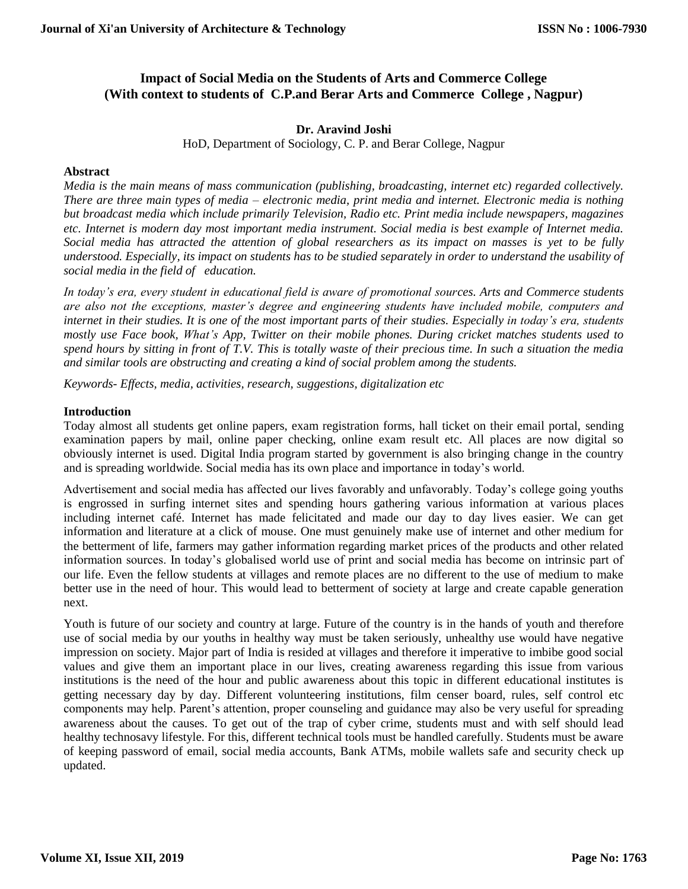# **Impact of Social Media on the Students of Arts and Commerce College (With context to students of C.P.and Berar Arts and Commerce College , Nagpur)**

# **Dr. Aravind Joshi**

HoD, Department of Sociology, C. P. and Berar College, Nagpur

### **Abstract**

*Media is the main means of mass communication (publishing, broadcasting, internet etc) regarded collectively. There are three main types of media – electronic media, print media and internet. Electronic media is nothing but broadcast media which include primarily Television, Radio etc. Print media include newspapers, magazines etc. Internet is modern day most important media instrument. Social media is best example of Internet media. Social media has attracted the attention of global researchers as its impact on masses is yet to be fully understood. Especially, its impact on students has to be studied separately in order to understand the usability of social media in the field of education.*

*In today's era, every student in educational field is aware of promotional sources. Arts and Commerce students are also not the exceptions, master's degree and engineering students have included mobile, computers and internet in their studies. It is one of the most important parts of their studies. Especially in today's era, students mostly use Face book, What's App, Twitter on their mobile phones. During cricket matches students used to spend hours by sitting in front of T.V. This is totally waste of their precious time. In such a situation the media and similar tools are obstructing and creating a kind of social problem among the students.*

*Keywords- Effects, media, activities, research, suggestions, digitalization etc*

### **Introduction**

Today almost all students get online papers, exam registration forms, hall ticket on their email portal, sending examination papers by mail, online paper checking, online exam result etc. All places are now digital so obviously internet is used. Digital India program started by government is also bringing change in the country and is spreading worldwide. Social media has its own place and importance in today's world.

Advertisement and social media has affected our lives favorably and unfavorably. Today's college going youths is engrossed in surfing internet sites and spending hours gathering various information at various places including internet café. Internet has made felicitated and made our day to day lives easier. We can get information and literature at a click of mouse. One must genuinely make use of internet and other medium for the betterment of life, farmers may gather information regarding market prices of the products and other related information sources. In today's globalised world use of print and social media has become on intrinsic part of our life. Even the fellow students at villages and remote places are no different to the use of medium to make better use in the need of hour. This would lead to betterment of society at large and create capable generation next.

Youth is future of our society and country at large. Future of the country is in the hands of youth and therefore use of social media by our youths in healthy way must be taken seriously, unhealthy use would have negative impression on society. Major part of India is resided at villages and therefore it imperative to imbibe good social values and give them an important place in our lives, creating awareness regarding this issue from various institutions is the need of the hour and public awareness about this topic in different educational institutes is getting necessary day by day. Different volunteering institutions, film censer board, rules, self control etc components may help. Parent's attention, proper counseling and guidance may also be very useful for spreading awareness about the causes. To get out of the trap of cyber crime, students must and with self should lead healthy technosavy lifestyle. For this, different technical tools must be handled carefully. Students must be aware of keeping password of email, social media accounts, Bank ATMs, mobile wallets safe and security check up updated.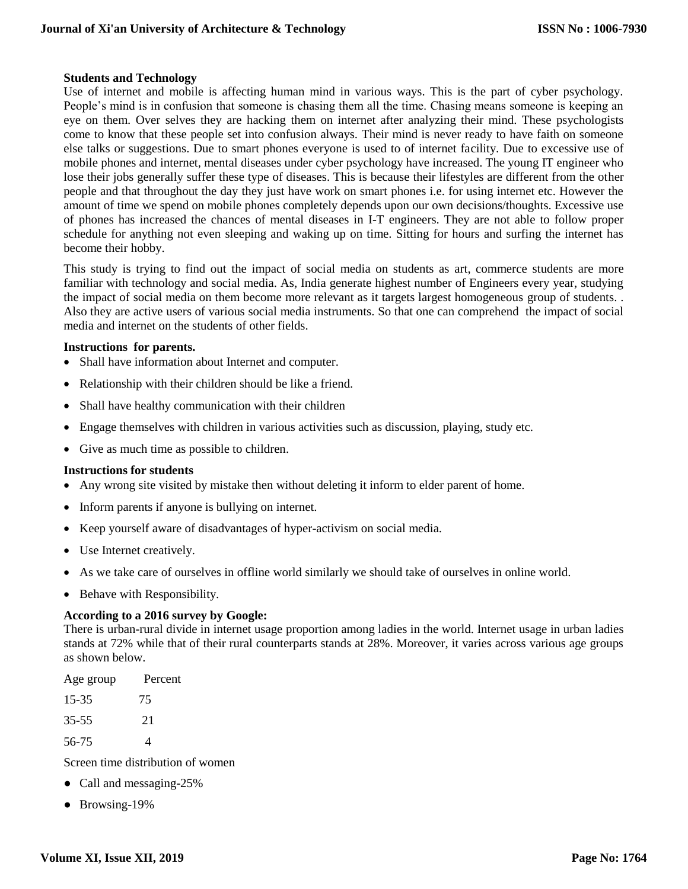# **Students and Technology**

Use of internet and mobile is affecting human mind in various ways. This is the part of cyber psychology. People's mind is in confusion that someone is chasing them all the time. Chasing means someone is keeping an eye on them. Over selves they are hacking them on internet after analyzing their mind. These psychologists come to know that these people set into confusion always. Their mind is never ready to have faith on someone else talks or suggestions. Due to smart phones everyone is used to of internet facility. Due to excessive use of mobile phones and internet, mental diseases under cyber psychology have increased. The young IT engineer who lose their jobs generally suffer these type of diseases. This is because their lifestyles are different from the other people and that throughout the day they just have work on smart phones i.e. for using internet etc. However the amount of time we spend on mobile phones completely depends upon our own decisions/thoughts. Excessive use of phones has increased the chances of mental diseases in I-T engineers. They are not able to follow proper schedule for anything not even sleeping and waking up on time. Sitting for hours and surfing the internet has become their hobby.

This study is trying to find out the impact of social media on students as art, commerce students are more familiar with technology and social media. As, India generate highest number of Engineers every year, studying the impact of social media on them become more relevant as it targets largest homogeneous group of students. . Also they are active users of various social media instruments. So that one can comprehend the impact of social media and internet on the students of other fields.

#### **Instructions for parents.**

- Shall have information about Internet and computer.
- Relationship with their children should be like a friend.
- Shall have healthy communication with their children
- Engage themselves with children in various activities such as discussion, playing, study etc.
- Give as much time as possible to children.

#### **Instructions for students**

- Any wrong site visited by mistake then without deleting it inform to elder parent of home.
- Inform parents if anyone is bullying on internet.
- Keep yourself aware of disadvantages of hyper-activism on social media.
- Use Internet creatively.
- As we take care of ourselves in offline world similarly we should take of ourselves in online world.
- Behave with Responsibility.

# **According to a 2016 survey by Google:**

There is urban-rural divide in internet usage proportion among ladies in the world. Internet usage in urban ladies stands at 72% while that of their rural counterparts stands at 28%. Moreover, it varies across various age groups as shown below.

| Age group | Percent |
|-----------|---------|
| 15-35     | 75      |
| $35 - 55$ | 21      |
| 56-75     | 4       |
|           |         |

Screen time distribution of women

- Call and messaging-25%
- Browsing-19%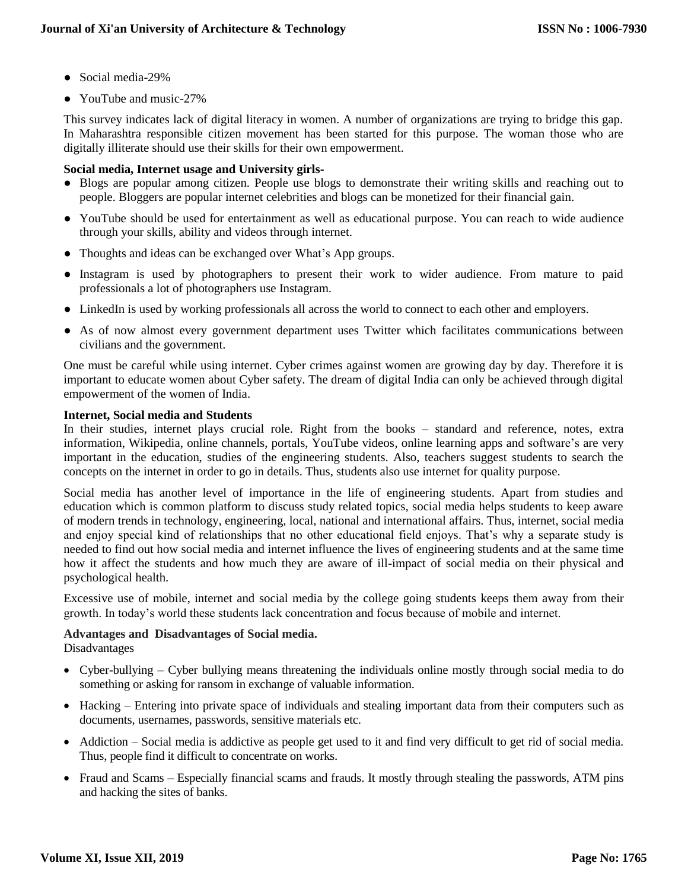- Social media-29%
- YouTube and music-27%

This survey indicates lack of digital literacy in women. A number of organizations are trying to bridge this gap. In Maharashtra responsible citizen movement has been started for this purpose. The woman those who are digitally illiterate should use their skills for their own empowerment.

# **Social media, Internet usage and University girls-**

- Blogs are popular among citizen. People use blogs to demonstrate their writing skills and reaching out to people. Bloggers are popular internet celebrities and blogs can be monetized for their financial gain.
- YouTube should be used for entertainment as well as educational purpose. You can reach to wide audience through your skills, ability and videos through internet.
- Thoughts and ideas can be exchanged over What's App groups.
- Instagram is used by photographers to present their work to wider audience. From mature to paid professionals a lot of photographers use Instagram.
- LinkedIn is used by working professionals all across the world to connect to each other and employers.
- As of now almost every government department uses Twitter which facilitates communications between civilians and the government.

One must be careful while using internet. Cyber crimes against women are growing day by day. Therefore it is important to educate women about Cyber safety. The dream of digital India can only be achieved through digital empowerment of the women of India.

# **Internet, Social media and Students**

In their studies, internet plays crucial role. Right from the books – standard and reference, notes, extra information, Wikipedia, online channels, portals, YouTube videos, online learning apps and software's are very important in the education, studies of the engineering students. Also, teachers suggest students to search the concepts on the internet in order to go in details. Thus, students also use internet for quality purpose.

Social media has another level of importance in the life of engineering students. Apart from studies and education which is common platform to discuss study related topics, social media helps students to keep aware of modern trends in technology, engineering, local, national and international affairs. Thus, internet, social media and enjoy special kind of relationships that no other educational field enjoys. That's why a separate study is needed to find out how social media and internet influence the lives of engineering students and at the same time how it affect the students and how much they are aware of ill-impact of social media on their physical and psychological health.

Excessive use of mobile, internet and social media by the college going students keeps them away from their growth. In today's world these students lack concentration and focus because of mobile and internet.

# **Advantages and Disadvantages of Social media.**

Disadvantages

- Cyber-bullying Cyber bullying means threatening the individuals online mostly through social media to do something or asking for ransom in exchange of valuable information.
- Hacking Entering into private space of individuals and stealing important data from their computers such as documents, usernames, passwords, sensitive materials etc.
- Addiction Social media is addictive as people get used to it and find very difficult to get rid of social media. Thus, people find it difficult to concentrate on works.
- Fraud and Scams Especially financial scams and frauds. It mostly through stealing the passwords, ATM pins and hacking the sites of banks.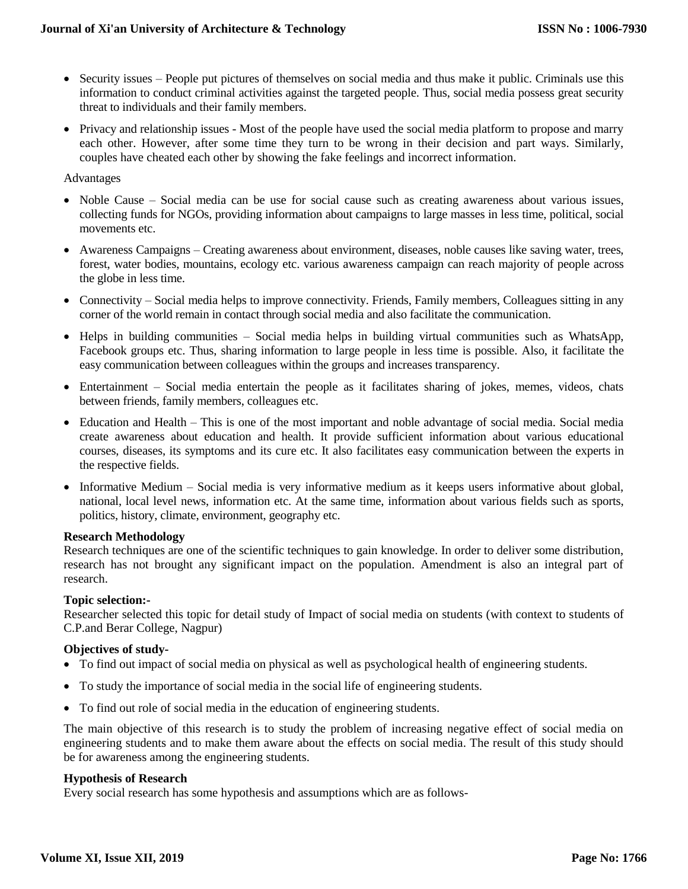- Security issues People put pictures of themselves on social media and thus make it public. Criminals use this information to conduct criminal activities against the targeted people. Thus, social media possess great security threat to individuals and their family members.
- Privacy and relationship issues Most of the people have used the social media platform to propose and marry each other. However, after some time they turn to be wrong in their decision and part ways. Similarly, couples have cheated each other by showing the fake feelings and incorrect information.

#### Advantages

- Noble Cause Social media can be use for social cause such as creating awareness about various issues, collecting funds for NGOs, providing information about campaigns to large masses in less time, political, social movements etc.
- Awareness Campaigns Creating awareness about environment, diseases, noble causes like saving water, trees, forest, water bodies, mountains, ecology etc. various awareness campaign can reach majority of people across the globe in less time.
- Connectivity Social media helps to improve connectivity. Friends, Family members, Colleagues sitting in any corner of the world remain in contact through social media and also facilitate the communication.
- Helps in building communities Social media helps in building virtual communities such as WhatsApp, Facebook groups etc. Thus, sharing information to large people in less time is possible. Also, it facilitate the easy communication between colleagues within the groups and increases transparency.
- Entertainment Social media entertain the people as it facilitates sharing of jokes, memes, videos, chats between friends, family members, colleagues etc.
- Education and Health This is one of the most important and noble advantage of social media. Social media create awareness about education and health. It provide sufficient information about various educational courses, diseases, its symptoms and its cure etc. It also facilitates easy communication between the experts in the respective fields.
- Informative Medium Social media is very informative medium as it keeps users informative about global, national, local level news, information etc. At the same time, information about various fields such as sports, politics, history, climate, environment, geography etc.

#### **Research Methodology**

Research techniques are one of the scientific techniques to gain knowledge. In order to deliver some distribution, research has not brought any significant impact on the population. Amendment is also an integral part of research.

#### **Topic selection:-**

Researcher selected this topic for detail study of Impact of social media on students (with context to students of C.P.and Berar College, Nagpur)

#### **Objectives of study-**

- To find out impact of social media on physical as well as psychological health of engineering students.
- To study the importance of social media in the social life of engineering students.
- To find out role of social media in the education of engineering students.

The main objective of this research is to study the problem of increasing negative effect of social media on engineering students and to make them aware about the effects on social media. The result of this study should be for awareness among the engineering students.

#### **Hypothesis of Research**

Every social research has some hypothesis and assumptions which are as follows-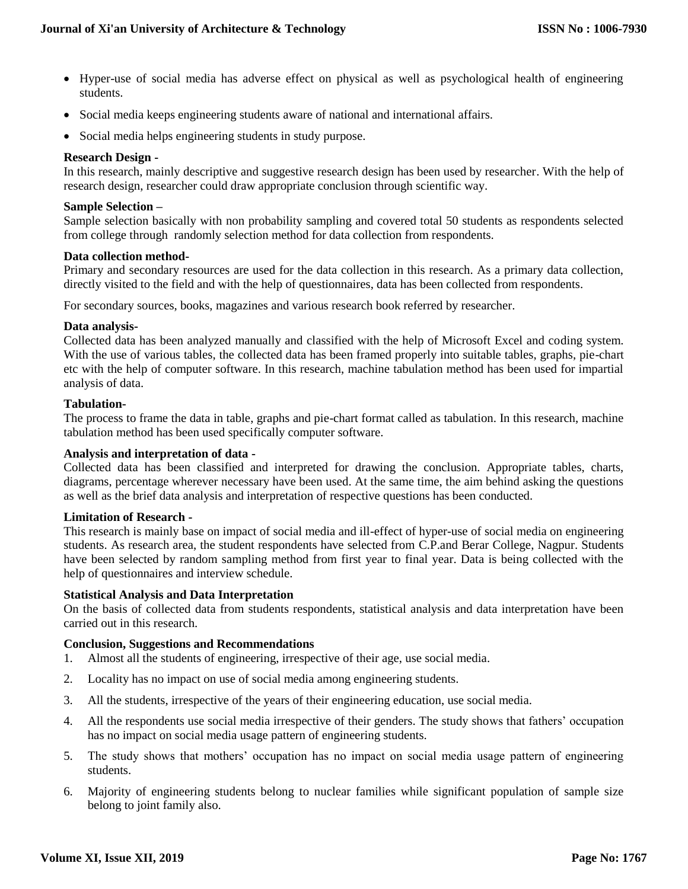- Hyper-use of social media has adverse effect on physical as well as psychological health of engineering students.
- Social media keeps engineering students aware of national and international affairs.
- Social media helps engineering students in study purpose.

### **Research Design -**

In this research, mainly descriptive and suggestive research design has been used by researcher. With the help of research design, researcher could draw appropriate conclusion through scientific way.

#### **Sample Selection –**

Sample selection basically with non probability sampling and covered total 50 students as respondents selected from college through randomly selection method for data collection from respondents.

### **Data collection method-**

Primary and secondary resources are used for the data collection in this research. As a primary data collection, directly visited to the field and with the help of questionnaires, data has been collected from respondents.

For secondary sources, books, magazines and various research book referred by researcher.

### **Data analysis-**

Collected data has been analyzed manually and classified with the help of Microsoft Excel and coding system. With the use of various tables, the collected data has been framed properly into suitable tables, graphs, pie-chart etc with the help of computer software. In this research, machine tabulation method has been used for impartial analysis of data.

### **Tabulation-**

The process to frame the data in table, graphs and pie-chart format called as tabulation. In this research, machine tabulation method has been used specifically computer software.

#### **Analysis and interpretation of data -**

Collected data has been classified and interpreted for drawing the conclusion. Appropriate tables, charts, diagrams, percentage wherever necessary have been used. At the same time, the aim behind asking the questions as well as the brief data analysis and interpretation of respective questions has been conducted.

#### **Limitation of Research -**

This research is mainly base on impact of social media and ill-effect of hyper-use of social media on engineering students. As research area, the student respondents have selected from C.P.and Berar College, Nagpur. Students have been selected by random sampling method from first year to final year. Data is being collected with the help of questionnaires and interview schedule.

#### **Statistical Analysis and Data Interpretation**

On the basis of collected data from students respondents, statistical analysis and data interpretation have been carried out in this research.

#### **Conclusion, Suggestions and Recommendations**

- 1. Almost all the students of engineering, irrespective of their age, use social media.
- 2. Locality has no impact on use of social media among engineering students.
- 3. All the students, irrespective of the years of their engineering education, use social media.
- 4. All the respondents use social media irrespective of their genders. The study shows that fathers' occupation has no impact on social media usage pattern of engineering students.
- 5. The study shows that mothers' occupation has no impact on social media usage pattern of engineering students.
- 6. Majority of engineering students belong to nuclear families while significant population of sample size belong to joint family also.